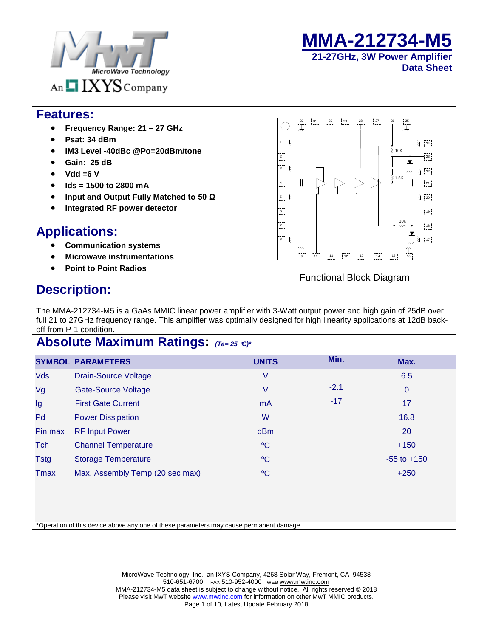



#### **Features:**

- **Frequency Range: 21 – 27 GHz**
- **Psat: 34 dBm**
- **IM3 Level -40dBc @Po=20dBm/tone**
- **Gain: 25 dB**
- **Vdd =6 V**
- **Ids = 1500 to 2800 mA**
- **Input and Output Fully Matched to 50 Ω**
- **Integrated RF power detector**

## **Applications:**

- **Communication systems**
- **Microwave instrumentations**
- **Point to Point Radios**

#### $\begin{bmatrix} 31 \end{bmatrix}$   $\begin{bmatrix} 30 \end{bmatrix}$   $\begin{bmatrix} 29 \end{bmatrix}$   $\begin{bmatrix} 28 \end{bmatrix}$   $\begin{bmatrix} 27 \end{bmatrix}$ 32 31 30 29 28 27 27 26  $\bigcap$  $\overline{1}$   $\overline{+}$   $\overline{1}$  $+24$ 10K  $\overline{2}$  : 23  $\overline{\mathcal{F}}$ 22 1.5K  $-4$ 21  $5 +$ 20  $\begin{bmatrix} 6 \\ -1 \end{bmatrix}$  $\begin{bmatrix} 19 \\ -19 \end{bmatrix}$ 10K 7) 18  $\overline{+}$  $+17$  $\binom{1}{11}$ 9 | | 10 | | 11 | | 12 | | 13 | | | 14 | | | 15 | | 16

#### Functional Block Diagram

# **Description:**

The MMA-212734-M5 is a GaAs MMIC linear power amplifier with 3-Watt output power and high gain of 25dB over full 21 to 27GHz frequency range. This amplifier was optimally designed for high linearity applications at 12dB backoff from P-1 condition.

### **Absolute Maximum Ratings:** *(Ta= 25* °*C)\**

|             | <b>SYMBOL PARAMETERS</b>        | <b>UNITS</b> | Min.   | Max.            |
|-------------|---------------------------------|--------------|--------|-----------------|
| <b>Vds</b>  | <b>Drain-Source Voltage</b>     | V            |        | 6.5             |
| Vg          | <b>Gate-Source Voltage</b>      | V            | $-2.1$ | $\mathbf 0$     |
| Ig          | <b>First Gate Current</b>       | mA           | $-17$  | 17              |
| Pd          | <b>Power Dissipation</b>        | W            |        | 16.8            |
| Pin max     | <b>RF Input Power</b>           | <b>dBm</b>   |        | <b>20</b>       |
| Tch         | <b>Channel Temperature</b>      | $\rm ^{o}C$  |        | $+150$          |
| <b>Tstg</b> | <b>Storage Temperature</b>      | $\rm ^{o}C$  |        | $-55$ to $+150$ |
| <b>Tmax</b> | Max. Assembly Temp (20 sec max) | $\rm ^{o}C$  |        | $+250$          |

**\***Operation of this device above any one of these parameters may cause permanent damage.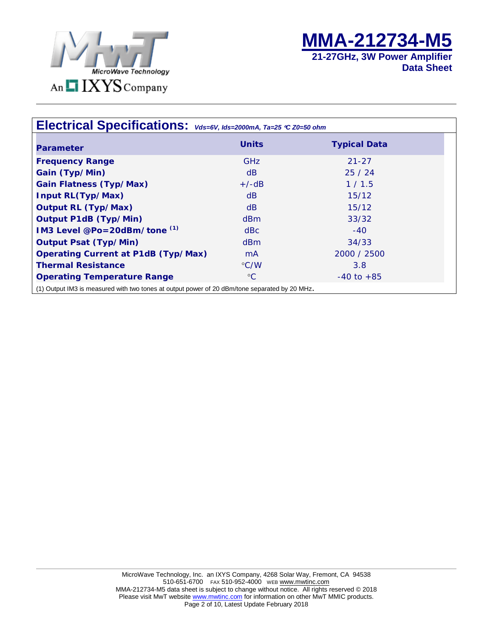



| Electrical Specifications: $\mathsf{v}_{ds=6\mathsf{V},\;lds=2000mA,\;Ta=25}$ $\mathsf{c}$ z0=50 ohm |                    |                     |  |  |  |
|------------------------------------------------------------------------------------------------------|--------------------|---------------------|--|--|--|
| <b>Parameter</b>                                                                                     | <b>Units</b>       | <b>Typical Data</b> |  |  |  |
| <b>Frequency Range</b>                                                                               | <b>GHz</b>         | $21 - 27$           |  |  |  |
| Gain (Typ/Min)                                                                                       | dB                 | 25/24               |  |  |  |
| <b>Gain Flatness (Typ/Max)</b>                                                                       | $+/-dB$            | 1/1.5               |  |  |  |
| <b>Input RL(Typ/Max)</b>                                                                             | dB                 | 15/12               |  |  |  |
| <b>Output RL (Typ/Max)</b>                                                                           | dB                 | 15/12               |  |  |  |
| <b>Output P1dB (Typ/Min)</b>                                                                         | dBm                | 33/32               |  |  |  |
| IM3 Level @Po=20dBm/tone (1)                                                                         | dBc                | $-40$               |  |  |  |
| <b>Output Psat (Typ/Min)</b>                                                                         | dBm                | 34/33               |  |  |  |
| <b>Operating Current at P1dB (Typ/Max)</b>                                                           | mA                 | 2000 / 2500         |  |  |  |
| <b>Thermal Resistance</b>                                                                            | $\rm ^{\circ}$ C/W | 3.8                 |  |  |  |
| <b>Operating Temperature Range</b>                                                                   | $\rm ^{\circ}C$    | $-40$ to $+85$      |  |  |  |
| (1) Output IM3 is measured with two tones at output power of 20 dBm/tone separated by 20 MHz.        |                    |                     |  |  |  |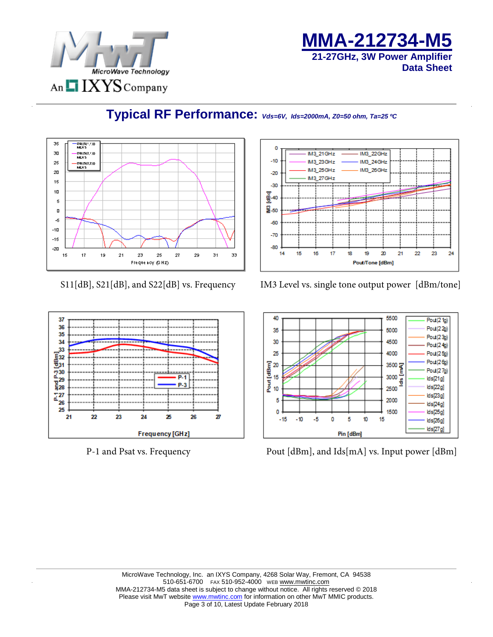

**MMA-212734-M5 21-27GHz, 3W Power Amplifier Data Sheet**



# **Typical RF Performance:** *Vds=6V, Ids=2000mA, Z0=50 ohm, Ta=25 ºC*



#### S11[dB], S21[dB], and S22[dB] vs. Frequency IM3 Level vs. single tone output power [dBm/tone]



P-1 and Psat vs. Frequency Pout [dBm], and Ids[mA] vs. Input power [dBm]

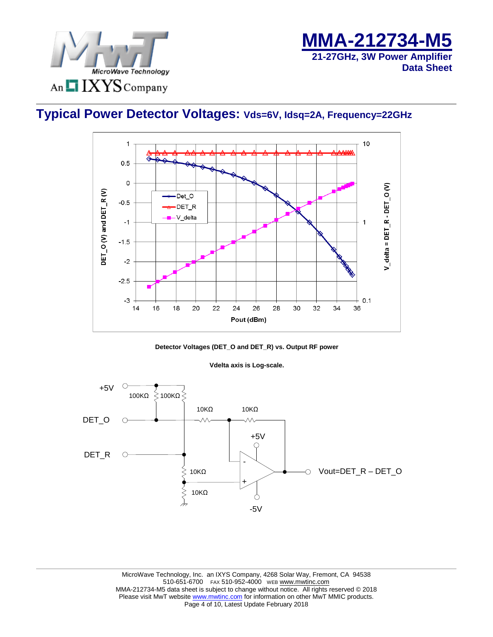



# **Typical Power Detector Voltages: Vds=6V, Idsq=2A, Frequency=22GHz**





#### **Vdelta axis is Log-scale.**

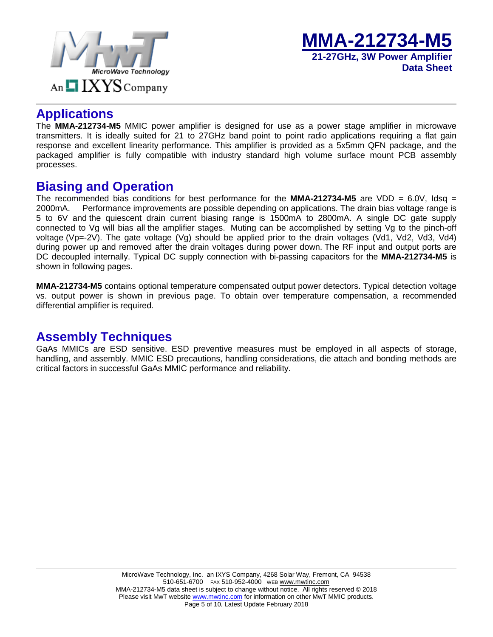



#### **Applications**

The **MMA-212734-M5** MMIC power amplifier is designed for use as a power stage amplifier in microwave transmitters. It is ideally suited for 21 to 27GHz band point to point radio applications requiring a flat gain response and excellent linearity performance. This amplifier is provided as a 5x5mm QFN package, and the packaged amplifier is fully compatible with industry standard high volume surface mount PCB assembly processes.

#### **Biasing and Operation**

The recommended bias conditions for best performance for the **MMA-212734-M5** are VDD = 6.0V, Idsq = 2000mA. Performance improvements are possible depending on applications. The drain bias voltage range is 5 to 6V and the quiescent drain current biasing range is 1500mA to 2800mA. A single DC gate supply connected to Vg will bias all the amplifier stages. Muting can be accomplished by setting Vg to the pinch-off voltage (Vp=-2V). The gate voltage (Vg) should be applied prior to the drain voltages (Vd1, Vd2, Vd3, Vd4) during power up and removed after the drain voltages during power down. The RF input and output ports are DC decoupled internally. Typical DC supply connection with bi-passing capacitors for the **MMA-212734-M5** is shown in following pages.

**MMA-212734-M5** contains optional temperature compensated output power detectors. Typical detection voltage vs. output power is shown in previous page. To obtain over temperature compensation, a recommended differential amplifier is required.

### **Assembly Techniques**

GaAs MMICs are ESD sensitive. ESD preventive measures must be employed in all aspects of storage, handling, and assembly. MMIC ESD precautions, handling considerations, die attach and bonding methods are critical factors in successful GaAs MMIC performance and reliability.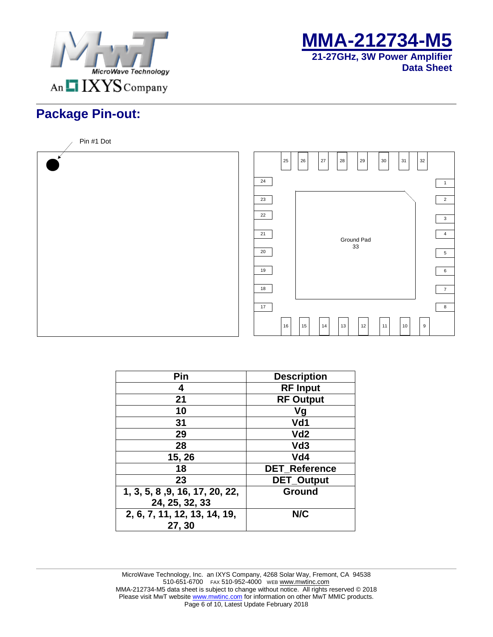



# **Package Pin-out:**



| Pin                            | <b>Description</b>   |
|--------------------------------|----------------------|
| 4                              | <b>RF Input</b>      |
| 21                             | <b>RF Output</b>     |
| 10                             | Vg                   |
| 31                             | Vd1                  |
| 29                             | Vd <sub>2</sub>      |
| 28                             | Vd <sub>3</sub>      |
| 15, 26                         | Vd4                  |
| 18                             | <b>DET Reference</b> |
| 23                             | <b>DET_Output</b>    |
| 1, 3, 5, 8, 9, 16, 17, 20, 22, | Ground               |
| 24, 25, 32, 33                 |                      |
| 2, 6, 7, 11, 12, 13, 14, 19,   | N/C                  |
| 27, 30                         |                      |

MicroWave Technology, Inc. an IXYS Company, 4268 Solar Way, Fremont, CA 94538 510-651-6700 FAX 510-952-4000 WEB WWW.mwtinc.com MMA-212734-M5 data sheet is subject to change without notice. All rights reserved © 2018 Please visit MwT websit[e www.mwtinc.com](http://www.mwtinc.com/) for information on other MwT MMIC products. Page 6 of 10, Latest Update February 2018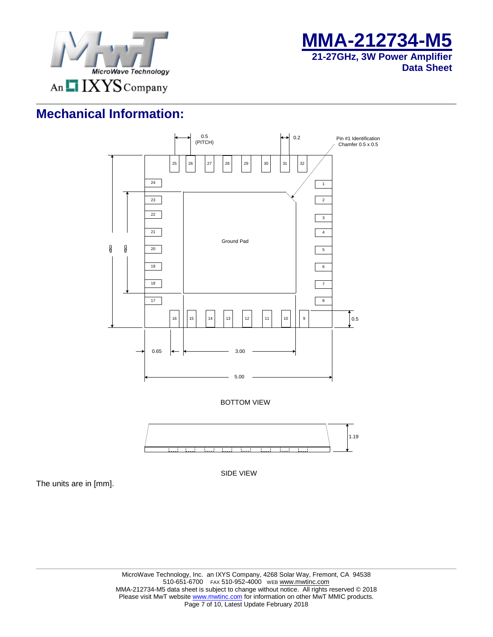



# **Mechanical Information:**



SIDE VIEW

The units are in [mm].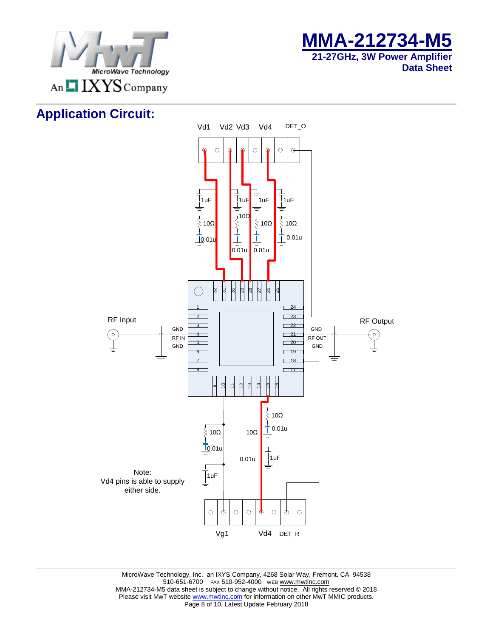



# **Application Circuit:**

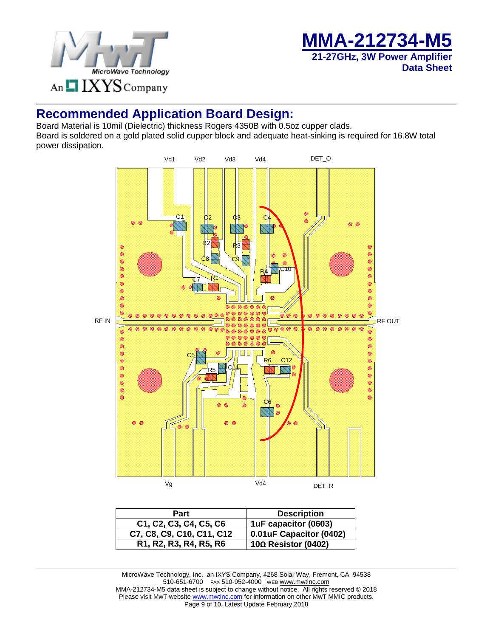

**MMA-212734-M5 21-27GHz, 3W Power Amplifier Data Sheet**

### **Recommended Application Board Design:**

Board Material is 10mil (Dielectric) thickness Rogers 4350B with 0.5oz cupper clads. Board is soldered on a gold plated solid cupper block and adequate heat-sinking is required for 16.8W total power dissipation.



| <b>Part</b>                                                                                         | <b>Description</b>         |
|-----------------------------------------------------------------------------------------------------|----------------------------|
| C1, C2, C3, C4, C5, C6                                                                              | 1uF capacitor (0603)       |
| C7, C8, C9, C10, C11, C12                                                                           | 0.01uF Capacitor (0402)    |
| R <sub>1</sub> , R <sub>2</sub> , R <sub>3</sub> , R <sub>4</sub> , R <sub>5</sub> , R <sub>6</sub> | $10\Omega$ Resistor (0402) |